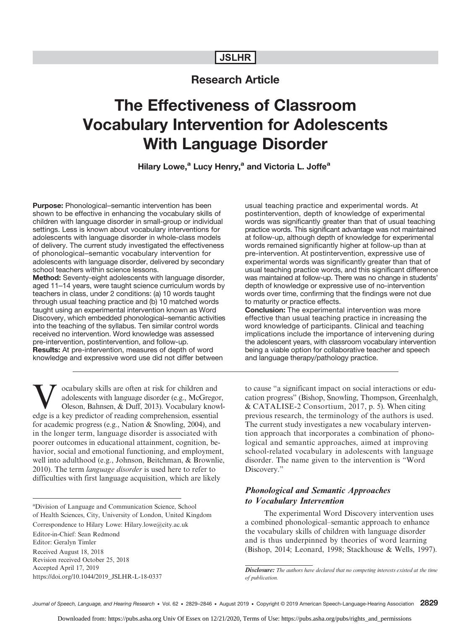## JSLHR

## Research Article

# The Effectiveness of Classroom Vocabulary Intervention for Adolescents With Language Disorder

Hilary Lowe,<sup>a</sup> Lucy Henry,<sup>a</sup> and Victoria L. Joffe<sup>a</sup>

Purpose: Phonological–semantic intervention has been shown to be effective in enhancing the vocabulary skills of children with language disorder in small-group or individual settings. Less is known about vocabulary interventions for adolescents with language disorder in whole-class models of delivery. The current study investigated the effectiveness of phonological–semantic vocabulary intervention for adolescents with language disorder, delivered by secondary school teachers within science lessons.

Method: Seventy-eight adolescents with language disorder, aged 11–14 years, were taught science curriculum words by teachers in class, under 2 conditions: (a) 10 words taught through usual teaching practice and (b) 10 matched words taught using an experimental intervention known as Word Discovery, which embedded phonological–semantic activities into the teaching of the syllabus. Ten similar control words received no intervention. Word knowledge was assessed pre-intervention, postintervention, and follow-up. Results: At pre-intervention, measures of depth of word knowledge and expressive word use did not differ between

ocabulary skills are often at risk for children and adolescents with language disorder (e.g., McGregor, Oleson, Bahnsen, & Duff, 2013). Vocabulary knowledge is a key predictor of reading comprehension, essential for academic progress (e.g., Nation & Snowling, 2004), and in the longer term, language disorder is associated with poorer outcomes in educational attainment, cognition, behavior, social and emotional functioning, and employment, well into adulthood (e.g., Johnson, Beitchman, & Brownlie, 2010). The term *language disorder* is used here to refer to difficulties with first language acquisition, which are likely

a Division of Language and Communication Science, School of Health Sciences, City, University of London, United Kingdom Correspondence to Hilary Lowe: Hilary.lowe@city.ac.uk Editor-in-Chief: Sean Redmond Editor: Geralyn Timler Received August 18, 2018 Revision received October 25, 2018 Accepted April 17, 2019 [https://doi.org/10.1044/2019\\_JSLHR-L-18-0337](https://doi.org/10.1044/2019_JSLHR-L-18-0337)

usual teaching practice and experimental words. At postintervention, depth of knowledge of experimental words was significantly greater than that of usual teaching practice words. This significant advantage was not maintained at follow-up, although depth of knowledge for experimental words remained significantly higher at follow-up than at pre-intervention. At postintervention, expressive use of experimental words was significantly greater than that of usual teaching practice words, and this significant difference was maintained at follow-up. There was no change in students' depth of knowledge or expressive use of no-intervention words over time, confirming that the findings were not due to maturity or practice effects.

Conclusion: The experimental intervention was more effective than usual teaching practice in increasing the word knowledge of participants. Clinical and teaching implications include the importance of intervening during the adolescent years, with classroom vocabulary intervention being a viable option for collaborative teacher and speech and language therapy/pathology practice.

to cause "a significant impact on social interactions or education progress" (Bishop, Snowling, Thompson, Greenhalgh, & CATALISE-2 Consortium, 2017, p. 5). When citing previous research, the terminology of the authors is used. The current study investigates a new vocabulary intervention approach that incorporates a combination of phonological and semantic approaches, aimed at improving school-related vocabulary in adolescents with language disorder. The name given to the intervention is "Word Discovery."

## Phonological and Semantic Approaches to Vocabulary Intervention

The experimental Word Discovery intervention uses a combined phonological–semantic approach to enhance the vocabulary skills of children with language disorder and is thus underpinned by theories of word learning (Bishop, 2014; Leonard, 1998; Stackhouse & Wells, 1997).

Disclosure: The authors have declared that no competing interests existed at the time of publication.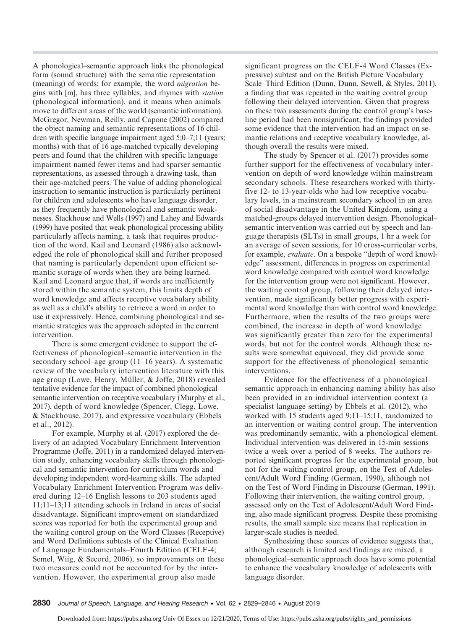A phonological–semantic approach links the phonological form (sound structure) with the semantic representation (meaning) of words; for example, the word migration begins with [m], has three syllables, and rhymes with station (phonological information), and it means when animals move to different areas of the world (semantic information). McGregor, Newman, Reilly, and Capone (2002) compared the object naming and semantic representations of 16 children with specific language impairment aged 5;0–7;11 (years; months) with that of 16 age-matched typically developing peers and found that the children with specific language impairment named fewer items and had sparser semantic representations, as assessed through a drawing task, than their age-matched peers. The value of adding phonological instruction to semantic instruction is particularly pertinent for children and adolescents who have language disorder, as they frequently have phonological and semantic weaknesses. Stackhouse and Wells (1997) and Lahey and Edwards (1999) have posited that weak phonological processing ability particularly affects naming, a task that requires production of the word. Kail and Leonard (1986) also acknowledged the role of phonological skill and further proposed that naming is particularly dependent upon efficient semantic storage of words when they are being learned. Kail and Leonard argue that, if words are inefficiently stored within the semantic system, this limits depth of word knowledge and affects receptive vocabulary ability as well as a child's ability to retrieve a word in order to use it expressively. Hence, combining phonological and semantic strategies was the approach adopted in the current intervention.

There is some emergent evidence to support the effectiveness of phonological–semantic intervention in the secondary school–age group (11–16 years). A systematic review of the vocabulary intervention literature with this age group (Lowe, Henry, Müller, & Joffe, 2018) revealed tentative evidence for the impact of combined phonological– semantic intervention on receptive vocabulary (Murphy et al., 2017), depth of word knowledge (Spencer, Clegg, Lowe, & Stackhouse, 2017), and expressive vocabulary (Ebbels et al., 2012).

For example, Murphy et al. (2017) explored the delivery of an adapted Vocabulary Enrichment Intervention Programme (Joffe, 2011) in a randomized delayed intervention study, enhancing vocabulary skills through phonological and semantic intervention for curriculum words and developing independent word-learning skills. The adapted Vocabulary Enrichment Intervention Program was delivered during 12–16 English lessons to 203 students aged 11;11–13;11 attending schools in Ireland in areas of social disadvantage. Significant improvement on standardized scores was reported for both the experimental group and the waiting control group on the Word Classes (Receptive) and Word Definitions subtests of the Clinical Evaluation of Language Fundamentals–Fourth Edition (CELF-4; Semel, Wiig, & Secord, 2006), so improvements on these two measures could not be accounted for by the intervention. However, the experimental group also made

significant progress on the CELF-4 Word Classes (Expressive) subtest and on the British Picture Vocabulary Scale–Third Edition (Dunn, Dunn, Sewell, & Styles, 2011), a finding that was repeated in the waiting control group following their delayed intervention. Given that progress on these two assessments during the control group's baseline period had been nonsignificant, the findings provided some evidence that the intervention had an impact on semantic relations and receptive vocabulary knowledge, although overall the results were mixed.

The study by Spencer et al. (2017) provides some further support for the effectiveness of vocabulary intervention on depth of word knowledge within mainstream secondary schools. These researchers worked with thirtyfive 12- to 13-year-olds who had low receptive vocabulary levels, in a mainstream secondary school in an area of social disadvantage in the United Kingdom, using a matched-groups delayed intervention design. Phonological– semantic intervention was carried out by speech and language therapists (SLTs) in small groups, 1 hr a week for an average of seven sessions, for 10 cross-curricular verbs, for example, evaluate. On a bespoke "depth of word knowledge" assessment, differences in progress on experimental word knowledge compared with control word knowledge for the intervention group were not significant. However, the waiting control group, following their delayed intervention, made significantly better progress with experimental word knowledge than with control word knowledge. Furthermore, when the results of the two groups were combined, the increase in depth of word knowledge was significantly greater than zero for the experimental words, but not for the control words. Although these results were somewhat equivocal, they did provide some support for the effectiveness of phonological–semantic interventions.

Evidence for the effectiveness of a phonological– semantic approach in enhancing naming ability has also been provided in an individual intervention context (a specialist language setting) by Ebbels et al. (2012), who worked with 15 students aged 9;11–15;11, randomized to an intervention or waiting control group. The intervention was predominantly semantic, with a phonological element. Individual intervention was delivered in 15-min sessions twice a week over a period of 8 weeks. The authors reported significant progress for the experimental group, but not for the waiting control group, on the Test of Adolescent/Adult Word Finding (German, 1990), although not on the Test of Word Finding in Discourse (German, 1991). Following their intervention, the waiting control group, assessed only on the Test of Adolescent/Adult Word Finding, also made significant progress. Despite these promising results, the small sample size means that replication in larger-scale studies is needed.

Synthesizing these sources of evidence suggests that, although research is limited and findings are mixed, a phonological–semantic approach does have some potential to enhance the vocabulary knowledge of adolescents with language disorder.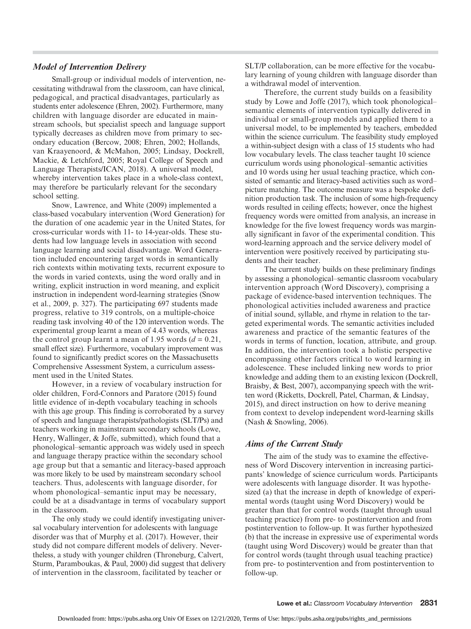## Model of Intervention Delivery

Small-group or individual models of intervention, necessitating withdrawal from the classroom, can have clinical, pedagogical, and practical disadvantages, particularly as students enter adolescence (Ehren, 2002). Furthermore, many children with language disorder are educated in mainstream schools, but specialist speech and language support typically decreases as children move from primary to secondary education (Bercow, 2008; Ehren, 2002; Hollands, van Kraayenoord, & McMahon, 2005; Lindsay, Dockrell, Mackie, & Letchford, 2005; Royal College of Speech and Language Therapists/ICAN, 2018). A universal model, whereby intervention takes place in a whole-class context, may therefore be particularly relevant for the secondary school setting.

Snow, Lawrence, and White (2009) implemented a class-based vocabulary intervention (Word Generation) for the duration of one academic year in the United States, for cross-curricular words with 11- to 14-year-olds. These students had low language levels in association with second language learning and social disadvantage. Word Generation included encountering target words in semantically rich contexts within motivating texts, recurrent exposure to the words in varied contexts, using the word orally and in writing, explicit instruction in word meaning, and explicit instruction in independent word-learning strategies (Snow et al., 2009, p. 327). The participating 697 students made progress, relative to 319 controls, on a multiple-choice reading task involving 40 of the 120 intervention words. The experimental group learnt a mean of 4.43 words, whereas the control group learnt a mean of 1.95 words  $(d = 0.21,$ small effect size). Furthermore, vocabulary improvement was found to significantly predict scores on the Massachusetts Comprehensive Assessment System, a curriculum assessment used in the United States.

However, in a review of vocabulary instruction for older children, Ford-Connors and Paratore (2015) found little evidence of in-depth vocabulary teaching in schools with this age group. This finding is corroborated by a survey of speech and language therapists/pathologists (SLT/Ps) and teachers working in mainstream secondary schools (Lowe, Henry, Wallinger, & Joffe, submitted), which found that a phonological–semantic approach was widely used in speech and language therapy practice within the secondary school age group but that a semantic and literacy-based approach was more likely to be used by mainstream secondary school teachers. Thus, adolescents with language disorder, for whom phonological–semantic input may be necessary, could be at a disadvantage in terms of vocabulary support in the classroom.

The only study we could identify investigating universal vocabulary intervention for adolescents with language disorder was that of Murphy et al. (2017). However, their study did not compare different models of delivery. Nevertheless, a study with younger children (Throneburg, Calvert, Sturm, Paramboukas, & Paul, 2000) did suggest that delivery of intervention in the classroom, facilitated by teacher or

SLT/P collaboration, can be more effective for the vocabulary learning of young children with language disorder than a withdrawal model of intervention.

Therefore, the current study builds on a feasibility study by Lowe and Joffe (2017), which took phonological– semantic elements of intervention typically delivered in individual or small-group models and applied them to a universal model, to be implemented by teachers, embedded within the science curriculum. The feasibility study employed a within-subject design with a class of 15 students who had low vocabulary levels. The class teacher taught 10 science curriculum words using phonological–semantic activities and 10 words using her usual teaching practice, which consisted of semantic and literacy-based activities such as word– picture matching. The outcome measure was a bespoke definition production task. The inclusion of some high-frequency words resulted in ceiling effects; however, once the highest frequency words were omitted from analysis, an increase in knowledge for the five lowest frequency words was marginally significant in favor of the experimental condition. This word-learning approach and the service delivery model of intervention were positively received by participating students and their teacher.

The current study builds on these preliminary findings by assessing a phonological–semantic classroom vocabulary intervention approach (Word Discovery), comprising a package of evidence-based intervention techniques. The phonological activities included awareness and practice of initial sound, syllable, and rhyme in relation to the targeted experimental words. The semantic activities included awareness and practice of the semantic features of the words in terms of function, location, attribute, and group. In addition, the intervention took a holistic perspective encompassing other factors critical to word learning in adolescence. These included linking new words to prior knowledge and adding them to an existing lexicon (Dockrell, Braisby, & Best, 2007), accompanying speech with the written word (Ricketts, Dockrell, Patel, Charman, & Lindsay, 2015), and direct instruction on how to derive meaning from context to develop independent word-learning skills (Nash & Snowling, 2006).

## Aims of the Current Study

The aim of the study was to examine the effectiveness of Word Discovery intervention in increasing participants' knowledge of science curriculum words. Participants were adolescents with language disorder. It was hypothesized (a) that the increase in depth of knowledge of experimental words (taught using Word Discovery) would be greater than that for control words (taught through usual teaching practice) from pre- to postintervention and from postintervention to follow-up. It was further hypothesized (b) that the increase in expressive use of experimental words (taught using Word Discovery) would be greater than that for control words (taught through usual teaching practice) from pre- to postintervention and from postintervention to follow-up.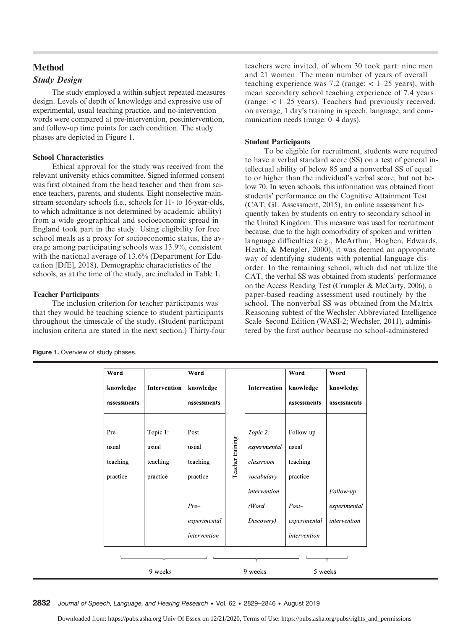## Method Study Design

The study employed a within-subject repeated-measures design. Levels of depth of knowledge and expressive use of experimental, usual teaching practice, and no-intervention words were compared at pre-intervention, postintervention, and follow-up time points for each condition. The study phases are depicted in Figure 1.

## School Characteristics

Ethical approval for the study was received from the relevant university ethics committee. Signed informed consent was first obtained from the head teacher and then from science teachers, parents, and students. Eight nonselective mainstream secondary schools (i.e., schools for 11- to 16-year-olds, to which admittance is not determined by academic ability) from a wide geographical and socioeconomic spread in England took part in the study. Using eligibility for free school meals as a proxy for socioeconomic status, the average among participating schools was 13.9%, consistent with the national average of 13.6% (Department for Education [DfE], 2018). Demographic characteristics of the schools, as at the time of the study, are included in Table 1.

## Teacher Participants

The inclusion criterion for teacher participants was that they would be teaching science to student participants throughout the timescale of the study. (Student participant inclusion criteria are stated in the next section.) Thirty-four

| teachers were invited, of whom 30 took part: nine men      |
|------------------------------------------------------------|
| and 21 women. The mean number of years of overall          |
| teaching experience was 7.2 (range: $<$ 1–25 years), with  |
| mean secondary school teaching experience of 7.4 years     |
| (range: $< 1-25$ years). Teachers had previously received, |
| on average, 1 day's training in speech, language, and com- |
| munication needs (range: 0–4 days).                        |

## Student Participants

To be eligible for recruitment, students were required to have a verbal standard score (SS) on a test of general intellectual ability of below 85 and a nonverbal SS of equal to or higher than the individual's verbal score, but not below 70. In seven schools, this information was obtained from students' performance on the Cognitive Attainment Test (CAT; GL Assessment, 2015), an online assessment frequently taken by students on entry to secondary school in the United Kingdom. This measure was used for recruitment because, due to the high comorbidity of spoken and written language difficulties (e.g., McArthur, Hogben, Edwards, Heath, & Mengler, 2000), it was deemed an appropriate way of identifying students with potential language disorder. In the remaining school, which did not utilize the CAT, the verbal SS was obtained from students' performance on the Access Reading Test (Crumpler & McCarty, 2006), a paper-based reading assessment used routinely by the school. The nonverbal SS was obtained from the Matrix Reasoning subtest of the Wechsler Abbreviated Intelligence Scale–Second Edition (WASI-2; Wechsler, 2011), administered by the first author because no school-administered

| Word        |              | Word         |                  |              | Word         | Word         |
|-------------|--------------|--------------|------------------|--------------|--------------|--------------|
| knowledge   | Intervention | knowledge    |                  | Intervention | knowledge    | knowledge    |
| assessments |              | assessments  |                  |              | assessments  | assessments  |
|             |              |              |                  |              |              |              |
| Pre-        | Topic 1:     | Post-        |                  | Topic 2:     | Follow-up    |              |
| usual       | usual        | usual        | Teacher training | experimental | usual        |              |
| teaching    | teaching     | teaching     |                  | classroom    | teaching     |              |
| practice    | practice     | practice     |                  | vocabulary   | practice     |              |
|             |              |              |                  | intervention |              | Follow-up    |
|             |              | $Pre-$       |                  | (Word        | $Post-$      | experimental |
|             |              | experimental |                  | Discovery)   | experimental | intervention |
|             |              | intervention |                  |              | intervention |              |
|             |              |              |                  |              |              |              |
|             | 9 weeks      |              |                  | 9 weeks      | 5 weeks      |              |

|  | Figure 1. Overview of study phases. |  |
|--|-------------------------------------|--|
|  |                                     |  |

2832 Journal of Speech, Language, and Hearing Research • Vol. 62 • 2829–2846 • August 2019

Downloaded from: https://pubs.asha.org Univ Of Essex on 12/21/2020, Terms of Use: https://pubs.asha.org/pubs/rights\_and\_permissions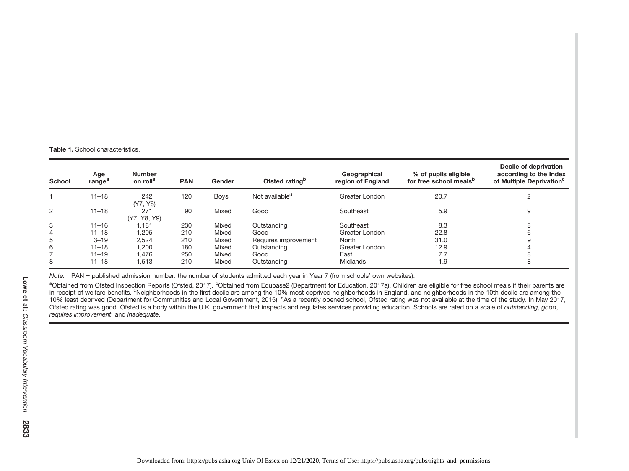**Table 1.** School characteristics.

| School | Age<br>range <sup>a</sup> | <b>Number</b><br>on roll <sup>a</sup> | <b>PAN</b> | Gender      | Ofsted rating <sup>b</sup> | Geographical<br>region of England | % of pupils eligible<br>for free school meals <sup>b</sup> | Decile of deprivation<br>according to the Index<br>of Multiple Deprivation <sup>c</sup> |
|--------|---------------------------|---------------------------------------|------------|-------------|----------------------------|-----------------------------------|------------------------------------------------------------|-----------------------------------------------------------------------------------------|
|        | $11 - 18$                 | 242<br>(Y7, Y8)                       | 120        | <b>Boys</b> | Not available <sup>d</sup> | Greater London                    | 20.7                                                       |                                                                                         |
| 2      | $11 - 18$                 | 271<br>(Y7, Y8, Y9)                   | 90         | Mixed       | Good                       | Southeast                         | 5.9                                                        | 9                                                                                       |
| 3      | $11 - 16$                 | .181                                  | 230        | Mixed       | Outstanding                | Southeast                         | 8.3                                                        |                                                                                         |
| 4      | $11 - 18$                 | 1,205                                 | 210        | Mixed       | Good                       | Greater London                    | 22.8                                                       |                                                                                         |
| 5      | $3 - 19$                  | 2,524                                 | 210        | Mixed       | Requires improvement       | North                             | 31.0                                                       |                                                                                         |
| 6      | $11 - 18$                 | 200,                                  | 180        | Mixed       | Outstanding                | Greater London                    | 12.9                                                       |                                                                                         |
|        | $11 - 19$                 | .476                                  | 250        | Mixed       | Good                       | East                              | 7.7                                                        |                                                                                         |
| 8      | $11 - 18$                 | 1.513                                 | 210        | Mixed       | Outstanding                | Midlands                          | 1.9                                                        | 8                                                                                       |

Note. PAN <sup>=</sup> published admission number: the number of students admitted each year in Year 7 (from schools' own websites).

<sup>a</sup>Obtained from Ofsted Inspection Reports (Ofsted, 2017). <sup>b</sup>Obtained from Edubase2 (Department for Education, 2017a). Children are eligible for free school meals if their parents are in receipt of welfare benefits. <sup>c</sup>Neighborhoods in the first decile are among the 10% most deprived neighborhoods in England, and neighborhoods in the 10th decile are among the 10% least deprived (Department for Communities and Local Government, 2015). dAs <sup>a</sup> recently opened school, Ofsted rating was not available at the time of the study. In May 2017, Ofsted rating was good. Ofsted is a body within the U.K. government that inspects and regulates services providing education. Schools are rated on a scale of *outstanding*, good, requires improvement, and inadequate.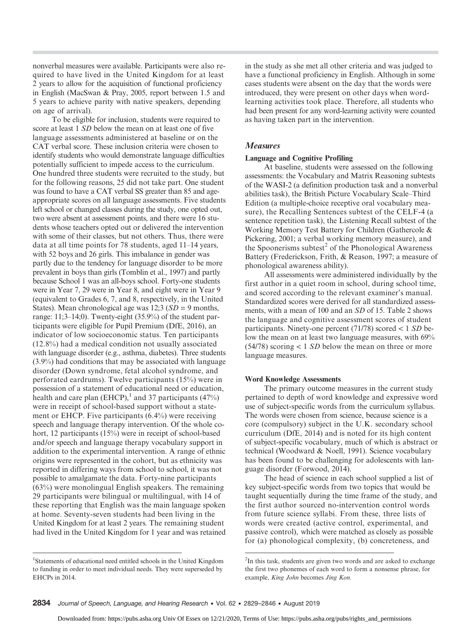nonverbal measures were available. Participants were also required to have lived in the United Kingdom for at least 2 years to allow for the acquisition of functional proficiency in English (MacSwan & Pray, 2005, report between 1.5 and 5 years to achieve parity with native speakers, depending on age of arrival).

To be eligible for inclusion, students were required to score at least 1 SD below the mean on at least one of five language assessments administered at baseline or on the CAT verbal score. These inclusion criteria were chosen to identify students who would demonstrate language difficulties potentially sufficient to impede access to the curriculum. One hundred three students were recruited to the study, but for the following reasons, 25 did not take part. One student was found to have a CAT verbal SS greater than 85 and ageappropriate scores on all language assessments. Five students left school or changed classes during the study, one opted out, two were absent at assessment points, and there were 16 students whose teachers opted out or delivered the intervention with some of their classes, but not others. Thus, there were data at all time points for 78 students, aged 11–14 years, with 52 boys and 26 girls. This imbalance in gender was partly due to the tendency for language disorder to be more prevalent in boys than girls (Tomblin et al., 1997) and partly because School 1 was an all-boys school. Forty-one students were in Year 7, 29 were in Year 8, and eight were in Year 9 (equivalent to Grades 6, 7, and 8, respectively, in the United States). Mean chronological age was  $12:3$  ( $SD = 9$  months, range: 11;3–14;0). Twenty-eight (35.9%) of the student participants were eligible for Pupil Premium (DfE, 2016), an indicator of low socioeconomic status. Ten participants (12.8%) had a medical condition not usually associated with language disorder (e.g., asthma, diabetes). Three students (3.9%) had conditions that may be associated with language disorder (Down syndrome, fetal alcohol syndrome, and perforated eardrums). Twelve participants (15%) were in possession of a statement of educational need or education, health and care plan (EHCP),<sup>1</sup> and 37 participants (47%) were in receipt of school-based support without a statement or EHCP. Five participants (6.4%) were receiving speech and language therapy intervention. Of the whole cohort, 12 participants (15%) were in receipt of school-based and/or speech and language therapy vocabulary support in addition to the experimental intervention. A range of ethnic origins were represented in the cohort, but as ethnicity was reported in differing ways from school to school, it was not possible to amalgamate the data. Forty-nine participants (63%) were monolingual English speakers. The remaining 29 participants were bilingual or multilingual, with 14 of these reporting that English was the main language spoken at home. Seventy-seven students had been living in the United Kingdom for at least 2 years. The remaining student had lived in the United Kingdom for 1 year and was retained

<sup>1</sup>Statements of educational need entitled schools in the United Kingdom to funding in order to meet individual needs. They were superseded by EHCPs in 2014.

in the study as she met all other criteria and was judged to have a functional proficiency in English. Although in some cases students were absent on the day that the words were introduced, they were present on other days when wordlearning activities took place. Therefore, all students who had been present for any word-learning activity were counted as having taken part in the intervention.

## Measures

### Language and Cognitive Profiling

At baseline, students were assessed on the following assessments: the Vocabulary and Matrix Reasoning subtests of the WASI-2 (a definition production task and a nonverbal abilities task), the British Picture Vocabulary Scale–Third Edition (a multiple-choice receptive oral vocabulary measure), the Recalling Sentences subtest of the CELF-4 (a sentence repetition task), the Listening Recall subtest of the Working Memory Test Battery for Children (Gathercole & Pickering, 2001; a verbal working memory measure), and the Spoonerisms subtest $<sup>2</sup>$  of the Phonological Awareness</sup> Battery (Frederickson, Frith, & Reason, 1997; a measure of phonological awareness ability).

All assessments were administered individually by the first author in a quiet room in school, during school time, and scored according to the relevant examiner's manual. Standardized scores were derived for all standardized assessments, with a mean of 100 and an SD of 15. Table 2 shows the language and cognitive assessment scores of student participants. Ninety-one percent  $(71/78)$  scored  $< 1 SD$  below the mean on at least two language measures, with 69%  $(54/78)$  scoring  $< 1$  SD below the mean on three or more language measures.

### Word Knowledge Assessments

The primary outcome measures in the current study pertained to depth of word knowledge and expressive word use of subject-specific words from the curriculum syllabus. The words were chosen from science, because science is a core (compulsory) subject in the U.K. secondary school curriculum (DfE, 2014) and is noted for its high content of subject-specific vocabulary, much of which is abstract or technical (Woodward & Noell, 1991). Science vocabulary has been found to be challenging for adolescents with language disorder (Forwood, 2014).

The head of science in each school supplied a list of key subject-specific words from two topics that would be taught sequentially during the time frame of the study, and the first author sourced no-intervention control words from future science syllabi. From these, three lists of words were created (active control, experimental, and passive control), which were matched as closely as possible for (a) phonological complexity, (b) concreteness, and

<sup>&</sup>lt;sup>2</sup>In this task, students are given two words and are asked to exchange the first two phonemes of each word to form a nonsense phrase, for example, King John becomes Jing Kon.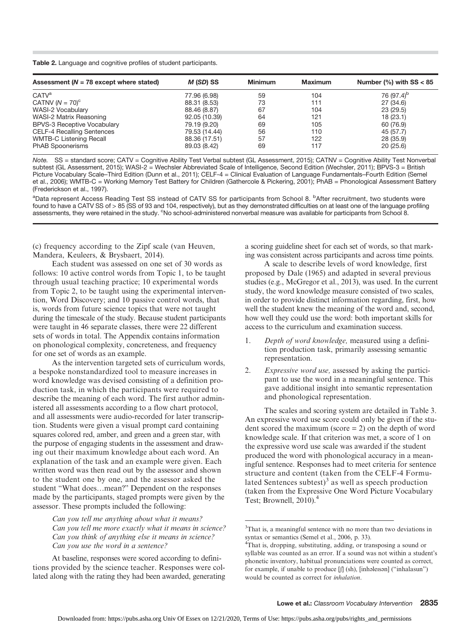Table 2. Language and cognitive profiles of student participants.

| Assessment ( $N = 78$ except where stated) | M (SD) SS     | <b>Minimum</b> | <b>Maximum</b> | Number $%$ with SS < 85 |
|--------------------------------------------|---------------|----------------|----------------|-------------------------|
| CATV <sup>a</sup>                          | 77.96 (6.98)  | 59             | 104            | 76 (97.4) <sup>b</sup>  |
| CATNV $(N = 70)$ <sup>c</sup>              | 88.31 (8.53)  | 73             | 111            | 27 (34.6)               |
| WASI-2 Vocabulary                          | 88.46 (8.87)  | 67             | 104            | 23(29.5)                |
| WASI-2 Matrix Reasoning                    | 92.05 (10.39) | 64             | 121            | 18(23.1)                |
| <b>BPVS-3 Receptive Vocabulary</b>         | 79.19 (9.20)  | 69             | 105            | 60 (76.9)               |
| <b>CELF-4 Recalling Sentences</b>          | 79.53 (14.44) | 56             | 110            | 45 (57.7)               |
| <b>WMTB-C Listening Recall</b>             | 88.36 (17.51) | 57             | 122            | 28 (35.9)               |
| <b>PhAB Spoonerisms</b>                    | 89.03 (8.42)  | 69             | 117            | 20(25.6)                |

Note. SS = standard score; CATV = Cognitive Ability Test Verbal subtest (GL Assessment, 2015); CATNV = Cognitive Ability Test Nonverbal subtest (GL Assessment, 2015); WASI-2 = Wechsler Abbreviated Scale of Intelligence, Second Edition (Wechsler, 2011); BPVS-3 = British Picture Vocabulary Scale–Third Edition (Dunn et al., 2011); CELF-4 = Clinical Evaluation of Language Fundamentals–Fourth Edition (Semel et al., 2006); WMTB-C = Working Memory Test Battery for Children (Gathercole & Pickering, 2001); PhAB = Phonological Assessment Battery (Frederickson et al., 1997).

<sup>a</sup>Data represent Access Reading Test SS instead of CATV SS for participants from School 8. <sup>b</sup>After recruitment, two students were found to have a CATV SS of > 85 (SS of 93 and 104, respectively), but as they demonstrated difficulties on at least one of the language profiling assessments, they were retained in the study. <sup>c</sup>No school-administered nonverbal measure was available for participants from School 8.

(c) frequency according to the Zipf scale (van Heuven, Mandera, Keuleers, & Brysbaert, 2014).

Each student was assessed on one set of 30 words as follows: 10 active control words from Topic 1, to be taught through usual teaching practice; 10 experimental words from Topic 2, to be taught using the experimental intervention, Word Discovery; and 10 passive control words, that is, words from future science topics that were not taught during the timescale of the study. Because student participants were taught in 46 separate classes, there were 22 different sets of words in total. The Appendix contains information on phonological complexity, concreteness, and frequency for one set of words as an example.

As the intervention targeted sets of curriculum words, a bespoke nonstandardized tool to measure increases in word knowledge was devised consisting of a definition production task, in which the participants were required to describe the meaning of each word. The first author administered all assessments according to a flow chart protocol, and all assessments were audio-recorded for later transcription. Students were given a visual prompt card containing squares colored red, amber, and green and a green star, with the purpose of engaging students in the assessment and drawing out their maximum knowledge about each word. An explanation of the task and an example were given. Each written word was then read out by the assessor and shown to the student one by one, and the assessor asked the student "What does…mean?" Dependent on the responses made by the participants, staged prompts were given by the assessor. These prompts included the following:

> Can you tell me anything about what it means? Can you tell me more exactly what it means in science? Can you think of anything else it means in science? Can you use the word in a sentence?

At baseline, responses were scored according to definitions provided by the science teacher. Responses were collated along with the rating they had been awarded, generating a scoring guideline sheet for each set of words, so that marking was consistent across participants and across time points.

A scale to describe levels of word knowledge, first proposed by Dale (1965) and adapted in several previous studies (e.g., McGregor et al., 2013), was used. In the current study, the word knowledge measure consisted of two scales, in order to provide distinct information regarding, first, how well the student knew the meaning of the word and, second, how well they could use the word: both important skills for access to the curriculum and examination success.

- 1. Depth of word knowledge, measured using a definition production task, primarily assessing semantic representation.
- 2. Expressive word use, assessed by asking the participant to use the word in a meaningful sentence. This gave additional insight into semantic representation and phonological representation.

The scales and scoring system are detailed in Table 3. An expressive word use score could only be given if the student scored the maximum (score  $= 2$ ) on the depth of word knowledge scale. If that criterion was met, a score of 1 on the expressive word use scale was awarded if the student produced the word with phonological accuracy in a meaningful sentence. Responses had to meet criteria for sentence structure and content (taken from the CELF-4 Formulated Sentences subtest $)^3$  as well as speech production (taken from the Expressive One Word Picture Vocabulary Test; Brownell, 2010).<sup>4</sup>

<sup>&</sup>lt;sup>3</sup>That is, a meaningful sentence with no more than two deviations in syntax or semantics (Semel et al., 2006, p. 33).

<sup>4</sup> That is, dropping, substituting, adding, or transposing a sound or syllable was counted as an error. If a sound was not within a student's phonetic inventory, habitual pronunciations were counted as correct, for example, if unable to produce [ʃ] (sh), [inhəleɪsən] ("inhalasun") would be counted as correct for inhalation.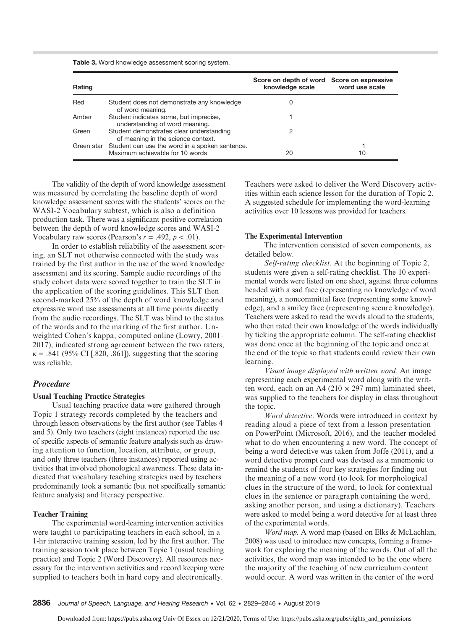| Rating |                                                                                              | Score on depth of word Score on expressive<br>knowledge scale | word use scale |
|--------|----------------------------------------------------------------------------------------------|---------------------------------------------------------------|----------------|
| Red    | Student does not demonstrate any knowledge<br>of word meaning.                               | O                                                             |                |
| Amber  | Student indicates some, but imprecise,<br>understanding of word meaning.                     |                                                               |                |
| Green  | Student demonstrates clear understanding<br>of meaning in the science context.               |                                                               |                |
|        | Green star Student can use the word in a spoken sentence.<br>Maximum achievable for 10 words | 20                                                            | 10             |

Table 3. Word knowledge assessment scoring system.

The validity of the depth of word knowledge assessment was measured by correlating the baseline depth of word knowledge assessment scores with the students' scores on the WASI-2 Vocabulary subtest, which is also a definition production task. There was a significant positive correlation between the depth of word knowledge scores and WASI-2 Vocabulary raw scores (Pearson's  $r = .492$ ,  $p < .01$ ).

In order to establish reliability of the assessment scoring, an SLT not otherwise connected with the study was trained by the first author in the use of the word knowledge assessment and its scoring. Sample audio recordings of the study cohort data were scored together to train the SLT in the application of the scoring guidelines. This SLT then second-marked 25% of the depth of word knowledge and expressive word use assessments at all time points directly from the audio recordings. The SLT was blind to the status of the words and to the marking of the first author. Unweighted Cohen's kappa, computed online (Lowry, 2001– 2017), indicated strong agreement between the two raters,  $\kappa = .841$  (95% CI [.820, .861]), suggesting that the scoring was reliable.

## Procedure

## Usual Teaching Practice Strategies

Usual teaching practice data were gathered through Topic 1 strategy records completed by the teachers and through lesson observations by the first author (see Tables 4 and 5). Only two teachers (eight instances) reported the use of specific aspects of semantic feature analysis such as drawing attention to function, location, attribute, or group, and only three teachers (three instances) reported using activities that involved phonological awareness. These data indicated that vocabulary teaching strategies used by teachers predominantly took a semantic (but not specifically semantic feature analysis) and literacy perspective.

## Teacher Training

The experimental word-learning intervention activities were taught to participating teachers in each school, in a 1-hr interactive training session, led by the first author. The training session took place between Topic 1 (usual teaching practice) and Topic 2 (Word Discovery). All resources necessary for the intervention activities and record keeping were supplied to teachers both in hard copy and electronically.

Teachers were asked to deliver the Word Discovery activities within each science lesson for the duration of Topic 2. A suggested schedule for implementing the word-learning activities over 10 lessons was provided for teachers.

## The Experimental Intervention

The intervention consisted of seven components, as detailed below.

Self-rating checklist. At the beginning of Topic 2, students were given a self-rating checklist. The 10 experimental words were listed on one sheet, against three columns headed with a sad face (representing no knowledge of word meaning), a noncommittal face (representing some knowledge), and a smiley face (representing secure knowledge). Teachers were asked to read the words aloud to the students, who then rated their own knowledge of the words individually by ticking the appropriate column. The self-rating checklist was done once at the beginning of the topic and once at the end of the topic so that students could review their own learning.

Visual image displayed with written word. An image representing each experimental word along with the written word, each on an A4 (210  $\times$  297 mm) laminated sheet, was supplied to the teachers for display in class throughout the topic.

Word detective. Words were introduced in context by reading aloud a piece of text from a lesson presentation on PowerPoint (Microsoft, 2016), and the teacher modeled what to do when encountering a new word. The concept of being a word detective was taken from Joffe (2011), and a word detective prompt card was devised as a mnemonic to remind the students of four key strategies for finding out the meaning of a new word (to look for morphological clues in the structure of the word, to look for contextual clues in the sentence or paragraph containing the word, asking another person, and using a dictionary). Teachers were asked to model being a word detective for at least three of the experimental words.

Word map. A word map (based on Elks & McLachlan, 2008) was used to introduce new concepts, forming a framework for exploring the meaning of the words. Out of all the activities, the word map was intended to be the one where the majority of the teaching of new curriculum content would occur. A word was written in the center of the word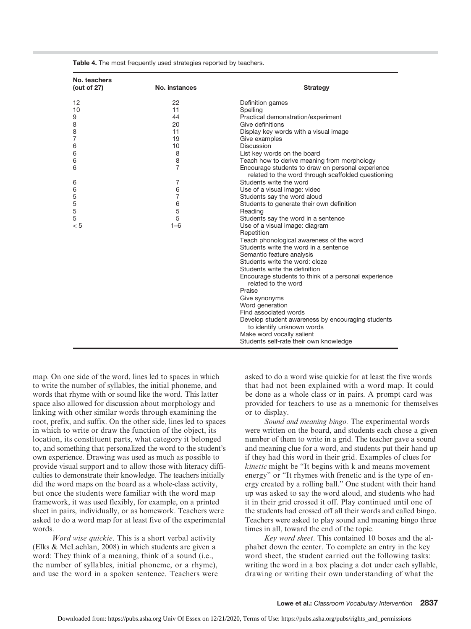| No. teachers<br>(out of $27$ ) | No. instances  | <b>Strategy</b>                                                                                         |
|--------------------------------|----------------|---------------------------------------------------------------------------------------------------------|
| 12                             | 22             | Definition games                                                                                        |
| 10                             | 11             | Spelling                                                                                                |
| 9                              | 44             | Practical demonstration/experiment                                                                      |
| 8                              | 20             | Give definitions                                                                                        |
| 8                              | 11             | Display key words with a visual image                                                                   |
| 7                              | 19             | Give examples                                                                                           |
| 6                              | 10             | Discussion                                                                                              |
| 6                              | 8              | List key words on the board                                                                             |
| 6                              | 8              | Teach how to derive meaning from morphology                                                             |
| 6                              | $\overline{7}$ | Encourage students to draw on personal experience<br>related to the word through scaffolded questioning |
| 6                              | 7              | Students write the word                                                                                 |
| 6                              | 6              | Use of a visual image: video                                                                            |
| 5                              | 7              | Students say the word aloud                                                                             |
| 5                              | 6              | Students to generate their own definition                                                               |
| 5                              | 5              | Reading                                                                                                 |
| 5                              | 5              | Students say the word in a sentence                                                                     |
| < 5                            | $1 - 6$        | Use of a visual image: diagram                                                                          |
|                                |                | Repetition                                                                                              |
|                                |                | Teach phonological awareness of the word                                                                |
|                                |                | Students write the word in a sentence                                                                   |
|                                |                | Semantic feature analysis                                                                               |
|                                |                | Students write the word: cloze                                                                          |
|                                |                | Students write the definition                                                                           |
|                                |                | Encourage students to think of a personal experience<br>related to the word                             |
|                                |                | Praise                                                                                                  |
|                                |                | Give synonyms                                                                                           |
|                                |                | Word generation                                                                                         |
|                                |                | Find associated words                                                                                   |
|                                |                | Develop student awareness by encouraging students<br>to identify unknown words                          |
|                                |                | Make word vocally salient                                                                               |
|                                |                | Students self-rate their own knowledge                                                                  |

Table 4. The most frequently used strategies reported by teachers.

map. On one side of the word, lines led to spaces in which to write the number of syllables, the initial phoneme, and words that rhyme with or sound like the word. This latter space also allowed for discussion about morphology and linking with other similar words through examining the root, prefix, and suffix. On the other side, lines led to spaces in which to write or draw the function of the object, its location, its constituent parts, what category it belonged to, and something that personalized the word to the student's own experience. Drawing was used as much as possible to provide visual support and to allow those with literacy difficulties to demonstrate their knowledge. The teachers initially did the word maps on the board as a whole-class activity, but once the students were familiar with the word map framework, it was used flexibly, for example, on a printed sheet in pairs, individually, or as homework. Teachers were asked to do a word map for at least five of the experimental words.

Word wise quickie. This is a short verbal activity (Elks & McLachlan, 2008) in which students are given a word: They think of a meaning, think of a sound (i.e., the number of syllables, initial phoneme, or a rhyme), and use the word in a spoken sentence. Teachers were asked to do a word wise quickie for at least the five words that had not been explained with a word map. It could be done as a whole class or in pairs. A prompt card was provided for teachers to use as a mnemonic for themselves or to display.

Sound and meaning bingo. The experimental words were written on the board, and students each chose a given number of them to write in a grid. The teacher gave a sound and meaning clue for a word, and students put their hand up if they had this word in their grid. Examples of clues for kinetic might be "It begins with k and means movement energy" or "It rhymes with frenetic and is the type of energy created by a rolling ball." One student with their hand up was asked to say the word aloud, and students who had it in their grid crossed it off. Play continued until one of the students had crossed off all their words and called bingo. Teachers were asked to play sound and meaning bingo three times in all, toward the end of the topic.

Key word sheet. This contained 10 boxes and the alphabet down the center. To complete an entry in the key word sheet, the student carried out the following tasks: writing the word in a box placing a dot under each syllable, drawing or writing their own understanding of what the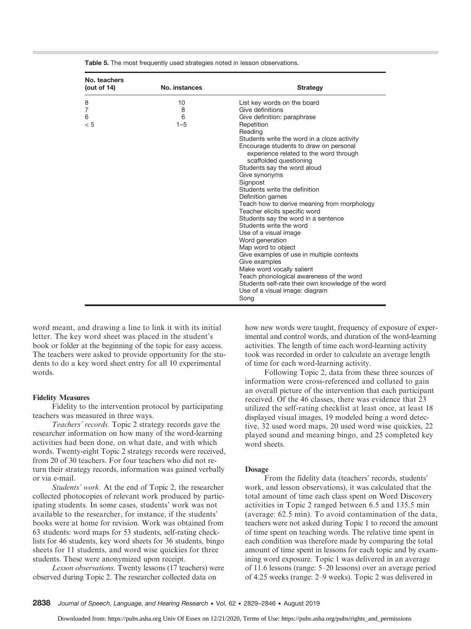| 8<br>10<br>7<br>8<br>6<br>6<br>< 5<br>$1 - 5$ | List key words on the board<br>Give definitions<br>Give definition: paraphrase<br>Repetition<br>Reading<br>Students write the word in a cloze activity<br>Encourage students to draw on personal<br>experience related to the word through<br>scaffolded questioning<br>Students say the word aloud<br>Give synonyms<br>Signpost<br>Students write the definition<br>Definition games<br>Teach how to derive meaning from morphology<br>Teacher elicits specific word<br>Students say the word in a sentence<br>Students write the word<br>Use of a visual image<br>Word generation<br>Map word to object<br>Give examples of use in multiple contexts<br>Give examples<br>Make word vocally salient<br>Teach phonological awareness of the word<br>Students self-rate their own knowledge of the word<br>Use of a visual image: diagram |
|-----------------------------------------------|------------------------------------------------------------------------------------------------------------------------------------------------------------------------------------------------------------------------------------------------------------------------------------------------------------------------------------------------------------------------------------------------------------------------------------------------------------------------------------------------------------------------------------------------------------------------------------------------------------------------------------------------------------------------------------------------------------------------------------------------------------------------------------------------------------------------------------------|

Table 5. The most frequently used strategies noted in lesson observations.

word meant, and drawing a line to link it with its initial letter. The key word sheet was placed in the student's book or folder at the beginning of the topic for easy access. The teachers were asked to provide opportunity for the students to do a key word sheet entry for all 10 experimental words.

## Fidelity Measures

Fidelity to the intervention protocol by participating teachers was measured in three ways.

Teachers' records. Topic 2 strategy records gave the researcher information on how many of the word-learning activities had been done, on what date, and with which words. Twenty-eight Topic 2 strategy records were received, from 20 of 30 teachers. For four teachers who did not return their strategy records, information was gained verbally or via e-mail.

Students' work. At the end of Topic 2, the researcher collected photocopies of relevant work produced by participating students. In some cases, students' work was not available to the researcher, for instance, if the students' books were at home for revision. Work was obtained from 63 students: word maps for 53 students, self-rating checklists for 46 students, key word sheets for 36 students, bingo sheets for 11 students, and word wise quickies for three students. These were anonymized upon receipt.

Lesson observations. Twenty lessons (17 teachers) were observed during Topic 2. The researcher collected data on

how new words were taught, frequency of exposure of experimental and control words, and duration of the word-learning activities. The length of time each word-learning activity took was recorded in order to calculate an average length of time for each word-learning activity.

Following Topic 2, data from these three sources of information were cross-referenced and collated to gain an overall picture of the intervention that each participant received. Of the 46 classes, there was evidence that 23 utilized the self-rating checklist at least once, at least 18 displayed visual images, 19 modeled being a word detective, 32 used word maps, 20 used word wise quickies, 22 played sound and meaning bingo, and 25 completed key word sheets.

### Dosage

From the fidelity data (teachers' records, students' work, and lesson observations), it was calculated that the total amount of time each class spent on Word Discovery activities in Topic 2 ranged between 6.5 and 135.5 min (average: 62.5 min). To avoid contamination of the data, teachers were not asked during Topic 1 to record the amount of time spent on teaching words. The relative time spent in each condition was therefore made by comparing the total amount of time spent in lessons for each topic and by examining word exposure. Topic 1 was delivered in an average of 11.6 lessons (range: 5–20 lessons) over an average period of 4.25 weeks (range: 2–9 weeks). Topic 2 was delivered in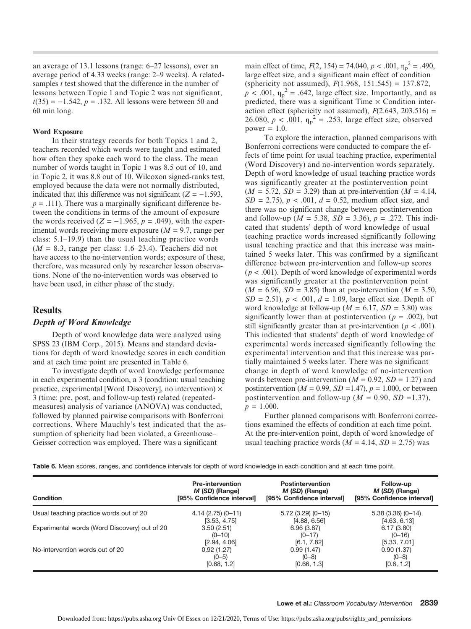an average of 13.1 lessons (range: 6–27 lessons), over an average period of 4.33 weeks (range: 2–9 weeks). A relatedsamples *t* test showed that the difference in the number of lessons between Topic 1 and Topic 2 was not significant,  $t(35) = -1.542$ ,  $p = .132$ . All lessons were between 50 and 60 min long.

## Word Exposure

In their strategy records for both Topics 1 and 2, teachers recorded which words were taught and estimated how often they spoke each word to the class. The mean number of words taught in Topic 1 was 8.5 out of 10, and in Topic 2, it was 8.8 out of 10. Wilcoxon signed-ranks test, employed because the data were not normally distributed, indicated that this difference was not significant ( $Z = -1.593$ ,  $p = .111$ ). There was a marginally significant difference between the conditions in terms of the amount of exposure the words received ( $Z = -1.965$ ,  $p = .049$ ), with the experimental words receiving more exposure  $(M = 9.7)$ , range per class: 5.1–19.9) than the usual teaching practice words  $(M = 8.3$ , range per class: 1.6–23.4). Teachers did not have access to the no-intervention words; exposure of these, therefore, was measured only by researcher lesson observations. None of the no-intervention words was observed to have been used, in either phase of the study.

## **Results**

## Depth of Word Knowledge

Depth of word knowledge data were analyzed using SPSS 23 (IBM Corp., 2015). Means and standard deviations for depth of word knowledge scores in each condition and at each time point are presented in Table 6.

To investigate depth of word knowledge performance in each experimental condition, a 3 (condition: usual teaching practice, experimental [Word Discovery], no intervention)  $\times$ 3 (time: pre, post, and follow-up test) related (repeatedmeasures) analysis of variance (ANOVA) was conducted, followed by planned pairwise comparisons with Bonferroni corrections. Where Mauchly's test indicated that the assumption of sphericity had been violated, a Greenhouse– Geisser correction was employed. There was a significant

main effect of time,  $F(2, 154) = 74.040$ ,  $p < .001$ ,  $\eta_p^2 = .490$ , large effect size, and a significant main effect of condition (sphericity not assumed),  $F(1.968, 151.545) = 137.872$ ,  $p < .001$ ,  $\eta_p^2 = .642$ , large effect size. Importantly, and as predicted, there was a significant Time  $\times$  Condition interaction effect (sphericity not assumed),  $F(2.643, 203.516) =$ 26.080,  $p < .001$ ,  $\eta_p^2 = .253$ , large effect size, observed power  $= 1.0$ .

To explore the interaction, planned comparisons with Bonferroni corrections were conducted to compare the effects of time point for usual teaching practice, experimental (Word Discovery) and no-intervention words separately. Depth of word knowledge of usual teaching practice words was significantly greater at the postintervention point  $(M = 5.72, SD = 3.29)$  than at pre-intervention  $(M = 4.14,$  $SD = 2.75$ ,  $p < .001$ ,  $d = 0.52$ , medium effect size, and there was no significant change between postintervention and follow-up ( $M = 5.38$ ,  $SD = 3.36$ ),  $p = .272$ . This indicated that students' depth of word knowledge of usual teaching practice words increased significantly following usual teaching practice and that this increase was maintained 5 weeks later. This was confirmed by a significant difference between pre-intervention and follow-up scores ( $p < .001$ ). Depth of word knowledge of experimental words was significantly greater at the postintervention point  $(M = 6.96, SD = 3.85)$  than at pre-intervention  $(M = 3.50,$  $SD = 2.51$ ,  $p < .001$ ,  $d = 1.09$ , large effect size. Depth of word knowledge at follow-up ( $M = 6.17$ ,  $SD = 3.80$ ) was significantly lower than at postintervention ( $p = .002$ ), but still significantly greater than at pre-intervention ( $p < .001$ ). This indicated that students' depth of word knowledge of experimental words increased significantly following the experimental intervention and that this increase was partially maintained 5 weeks later. There was no significant change in depth of word knowledge of no-intervention words between pre-intervention ( $M = 0.92$ ,  $SD = 1.27$ ) and postintervention ( $M = 0.99$ ,  $SD = 1.47$ ),  $p = 1.000$ , or between postintervention and follow-up ( $M = 0.90$ ,  $SD = 1.37$ ),  $p = 1.000$ .

Further planned comparisons with Bonferroni corrections examined the effects of condition at each time point. At the pre-intervention point, depth of word knowledge of usual teaching practice words ( $M = 4.14$ ,  $SD = 2.75$ ) was

Table 6. Mean scores, ranges, and confidence intervals for depth of word knowledge in each condition and at each time point.

| <b>Condition</b>                              | <b>Pre-intervention</b>   | <b>Postintervention</b>   | Follow-up                 |
|-----------------------------------------------|---------------------------|---------------------------|---------------------------|
|                                               | M (SD) (Range)            | M (SD) (Range)            | M (SD) (Range)            |
|                                               | [95% Confidence interval] | [95% Confidence interval] | [95% Confidence interval] |
| Usual teaching practice words out of 20       | $4.14(2.75)(0-11)$        | $5.72$ (3.29) (0-15)      | $5.38(3.36)(0-14)$        |
|                                               | [3.53, 4.75]              | [4.88, 6.56]              | [4.63, 6.13]              |
| Experimental words (Word Discovery) out of 20 | 3.50(2.51)                | 6.96(3.87)                | 6.17(3.80)                |
|                                               | $(0 - 10)$                | $(0-17)$                  | $(0 - 16)$                |
| No-intervention words out of 20               | [2.94, 4.06]              | [6.1, 7.82]               | [5.33, 7.01]              |
|                                               | 0.92(1.27)                | 0.99(1.47)                | 0.90(1.37)                |
|                                               | $(0-5)$                   | $(0 - 8)$                 | $(0-8)$                   |
|                                               | [0.68, 1.2]               | [0.66, 1.3]               | [0.6, 1.2]                |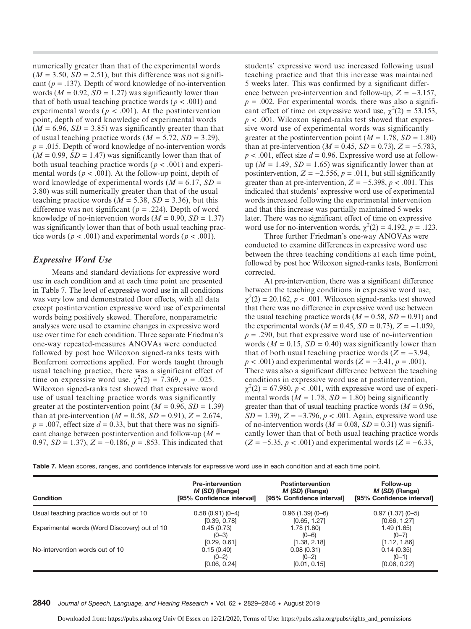numerically greater than that of the experimental words  $(M = 3.50, SD = 2.51)$ , but this difference was not significant ( $p = .137$ ). Depth of word knowledge of no-intervention words ( $M = 0.92$ ,  $SD = 1.27$ ) was significantly lower than that of both usual teaching practice words ( $p < .001$ ) and experimental words ( $p < .001$ ). At the postintervention point, depth of word knowledge of experimental words  $(M = 6.96, SD = 3.85)$  was significantly greater than that of usual teaching practice words ( $M = 5.72$ ,  $SD = 3.29$ ),  $p = .015$ . Depth of word knowledge of no-intervention words  $(M = 0.99, SD = 1.47)$  was significantly lower than that of both usual teaching practice words ( $p < .001$ ) and experimental words ( $p < .001$ ). At the follow-up point, depth of word knowledge of experimental words ( $M = 6.17$ ,  $SD =$ 3.80) was still numerically greater than that of the usual teaching practice words ( $M = 5.38$ ,  $SD = 3.36$ ), but this difference was not significant ( $p = .224$ ). Depth of word knowledge of no-intervention words  $(M = 0.90, SD = 1.37)$ was significantly lower than that of both usual teaching practice words ( $p < .001$ ) and experimental words ( $p < .001$ ).

## Expressive Word Use

Means and standard deviations for expressive word use in each condition and at each time point are presented in Table 7. The level of expressive word use in all conditions was very low and demonstrated floor effects, with all data except postintervention expressive word use of experimental words being positively skewed. Therefore, nonparametric analyses were used to examine changes in expressive word use over time for each condition. Three separate Friedman's one-way repeated-measures ANOVAs were conducted followed by post hoc Wilcoxon signed-ranks tests with Bonferroni corrections applied. For words taught through usual teaching practice, there was a significant effect of time on expressive word use,  $\chi^2(2) = 7.369$ ,  $p = .025$ . Wilcoxon signed-ranks test showed that expressive word use of usual teaching practice words was significantly greater at the postintervention point ( $M = 0.96$ ,  $SD = 1.39$ ) than at pre-intervention ( $M = 0.58$ ,  $SD = 0.91$ ),  $Z = 2.674$ ,  $p = .007$ , effect size  $d = 0.33$ , but that there was no significant change between postintervention and follow-up ( $M =$ 0.97,  $SD = 1.37$ ,  $Z = -0.186$ ,  $p = .853$ . This indicated that

students' expressive word use increased following usual teaching practice and that this increase was maintained 5 weeks later. This was confirmed by a significant difference between pre-intervention and follow-up,  $Z = -3.157$ ,  $p = .002$ . For experimental words, there was also a significant effect of time on expressive word use,  $\chi^2(2) = 53.153$ ,  $p < .001$ . Wilcoxon signed-ranks test showed that expressive word use of experimental words was significantly greater at the postintervention point ( $M = 1.78$ ,  $SD = 1.80$ ) than at pre-intervention ( $M = 0.45$ ,  $SD = 0.73$ ),  $Z = -5.783$ ,  $p < .001$ , effect size  $d = 0.96$ . Expressive word use at followup ( $M = 1.49$ ,  $SD = 1.65$ ) was significantly lower than at postintervention,  $Z = -2.556$ ,  $p = .011$ , but still significantly greater than at pre-intervention,  $Z = -5.398$ ,  $p < .001$ . This indicated that students' expressive word use of experimental words increased following the experimental intervention and that this increase was partially maintained 5 weeks later. There was no significant effect of time on expressive word use for no-intervention words,  $\chi^2(2) = 4.192$ ,  $p = .123$ .

Three further Friedman's one-way ANOVAs were conducted to examine differences in expressive word use between the three teaching conditions at each time point, followed by post hoc Wilcoxon signed-ranks tests, Bonferroni corrected.

At pre-intervention, there was a significant difference between the teaching conditions in expressive word use,  $\chi^2(2) = 20.162$ ,  $p < .001$ . Wilcoxon signed-ranks test showed that there was no difference in expressive word use between the usual teaching practice words ( $M = 0.58$ ,  $SD = 0.91$ ) and the experimental words ( $M = 0.45$ ,  $SD = 0.73$ ),  $Z = -1.059$ ,  $p = .290$ , but that expressive word use of no-intervention words ( $M = 0.15$ ,  $SD = 0.40$ ) was significantly lower than that of both usual teaching practice words  $(Z = -3.94,$  $p < .001$ ) and experimental words (Z = -3.41,  $p = .001$ ). There was also a significant difference between the teaching conditions in expressive word use at postintervention,  $\chi^2(2) = 67.980, p < .001$ , with expressive word use of experimental words ( $M = 1.78$ ,  $SD = 1.80$ ) being significantly greater than that of usual teaching practice words ( $M = 0.96$ ,  $SD = 1.39$ ,  $Z = -3.796$ ,  $p < .001$ . Again, expressive word use of no-intervention words ( $M = 0.08$ ,  $SD = 0.31$ ) was significantly lower than that of both usual teaching practice words  $(Z = -5.35, p < .001)$  and experimental words  $(Z = -6.33,$ 

Table 7. Mean scores, ranges, and confidence intervals for expressive word use in each condition and at each time point.

| <b>Condition</b>                              | <b>Pre-intervention</b><br>M (SD) (Range)<br>[95% Confidence interval] | <b>Postintervention</b><br>M (SD) (Range)<br>[95% Confidence interval] | Follow-up<br>M (SD) (Range)<br>[95% Confidence interval] |
|-----------------------------------------------|------------------------------------------------------------------------|------------------------------------------------------------------------|----------------------------------------------------------|
| Usual teaching practice words out of 10       | $0.58(0.91)(0-4)$                                                      | $0.96(1.39)(0-6)$                                                      | $0.97(1.37)(0-5)$                                        |
|                                               | [0.39, 0.78]                                                           | [0.65, 1.27]                                                           | [0.66, 1.27]                                             |
| Experimental words (Word Discovery) out of 10 | 0.45(0.73)                                                             | 1.78 (1.80)                                                            | 1.49 (1.65)                                              |
|                                               | $(0-3)$                                                                | $(0-6)$                                                                | $(0 - 7)$                                                |
|                                               | [0.29, 0.61]                                                           | [1.38, 2.18]                                                           | [1.12, 1.86]                                             |
| No-intervention words out of 10               | 0.15(0.40)                                                             | 0.08(0.31)                                                             | 0.14(0.35)                                               |
|                                               | $(0-2)$                                                                | $(0-2)$                                                                | $(0-1)$                                                  |
|                                               | [0.06, 0.24]                                                           | [0.01, 0.15]                                                           | [0.06, 0.22]                                             |

2840 Journal of Speech, Language, and Hearing Research • Vol. 62 • 2829–2846 • August 2019

Downloaded from: https://pubs.asha.org Univ Of Essex on 12/21/2020, Terms of Use: https://pubs.asha.org/pubs/rights\_and\_permissions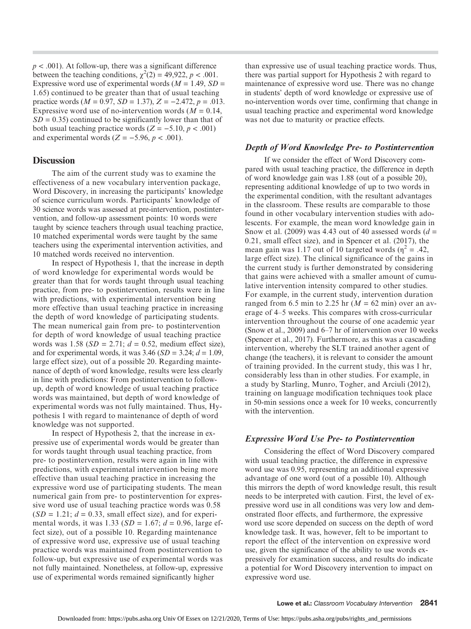$p < .001$ ). At follow-up, there was a significant difference between the teaching conditions,  $\chi^2(2) = 49,922$ ,  $p < .001$ . Expressive word use of experimental words  $(M = 1.49, SD =$ 1.65) continued to be greater than that of usual teaching practice words ( $M = 0.97$ ,  $SD = 1.37$ ),  $Z = -2.472$ ,  $p = .013$ . Expressive word use of no-intervention words  $(M = 0.14,$  $SD = 0.35$ ) continued to be significantly lower than that of both usual teaching practice words ( $Z = -5.10, p < .001$ ) and experimental words ( $Z = -5.96$ ,  $p < .001$ ).

## **Discussion**

The aim of the current study was to examine the effectiveness of a new vocabulary intervention package, Word Discovery, in increasing the participants' knowledge of science curriculum words. Participants' knowledge of 30 science words was assessed at pre-intervention, postintervention, and follow-up assessment points: 10 words were taught by science teachers through usual teaching practice, 10 matched experimental words were taught by the same teachers using the experimental intervention activities, and 10 matched words received no intervention.

In respect of Hypothesis 1, that the increase in depth of word knowledge for experimental words would be greater than that for words taught through usual teaching practice, from pre- to postintervention, results were in line with predictions, with experimental intervention being more effective than usual teaching practice in increasing the depth of word knowledge of participating students. The mean numerical gain from pre- to postintervention for depth of word knowledge of usual teaching practice words was 1.58 ( $SD = 2.71$ ;  $d = 0.52$ , medium effect size), and for experimental words, it was  $3.46$  (SD =  $3.24$ ;  $d = 1.09$ , large effect size), out of a possible 20. Regarding maintenance of depth of word knowledge, results were less clearly in line with predictions: From postintervention to followup, depth of word knowledge of usual teaching practice words was maintained, but depth of word knowledge of experimental words was not fully maintained. Thus, Hypothesis 1 with regard to maintenance of depth of word knowledge was not supported.

In respect of Hypothesis 2, that the increase in expressive use of experimental words would be greater than for words taught through usual teaching practice, from pre- to postintervention, results were again in line with predictions, with experimental intervention being more effective than usual teaching practice in increasing the expressive word use of participating students. The mean numerical gain from pre- to postintervention for expressive word use of usual teaching practice words was 0.58  $(SD = 1.21; d = 0.33$ , small effect size), and for experimental words, it was 1.33 ( $SD = 1.67$ ;  $d = 0.96$ , large effect size), out of a possible 10. Regarding maintenance of expressive word use, expressive use of usual teaching practice words was maintained from postintervention to follow-up, but expressive use of experimental words was not fully maintained. Nonetheless, at follow-up, expressive use of experimental words remained significantly higher

than expressive use of usual teaching practice words. Thus, there was partial support for Hypothesis 2 with regard to maintenance of expressive word use. There was no change in students' depth of word knowledge or expressive use of no-intervention words over time, confirming that change in usual teaching practice and experimental word knowledge was not due to maturity or practice effects.

## Depth of Word Knowledge Pre- to Postintervention

If we consider the effect of Word Discovery compared with usual teaching practice, the difference in depth of word knowledge gain was 1.88 (out of a possible 20), representing additional knowledge of up to two words in the experimental condition, with the resultant advantages in the classroom. These results are comparable to those found in other vocabulary intervention studies with adolescents. For example, the mean word knowledge gain in Snow et al. (2009) was 4.43 out of 40 assessed words ( $d =$ 0.21, small effect size), and in Spencer et al. (2017), the mean gain was 1.17 out of 10 targeted words ( $\eta^2 = .42$ , large effect size). The clinical significance of the gains in the current study is further demonstrated by considering that gains were achieved with a smaller amount of cumulative intervention intensity compared to other studies. For example, in the current study, intervention duration ranged from 6.5 min to 2.25 hr  $(M = 62 \text{ min})$  over an average of 4–5 weeks. This compares with cross-curricular intervention throughout the course of one academic year (Snow et al., 2009) and 6–7 hr of intervention over 10 weeks (Spencer et al., 2017). Furthermore, as this was a cascading intervention, whereby the SLT trained another agent of change (the teachers), it is relevant to consider the amount of training provided. In the current study, this was 1 hr, considerably less than in other studies. For example, in a study by Starling, Munro, Togher, and Arciuli (2012), training on language modification techniques took place in 50-min sessions once a week for 10 weeks, concurrently with the intervention.

## Expressive Word Use Pre- to Postintervention

Considering the effect of Word Discovery compared with usual teaching practice, the difference in expressive word use was 0.95, representing an additional expressive advantage of one word (out of a possible 10). Although this mirrors the depth of word knowledge result, this result needs to be interpreted with caution. First, the level of expressive word use in all conditions was very low and demonstrated floor effects, and furthermore, the expressive word use score depended on success on the depth of word knowledge task. It was, however, felt to be important to report the effect of the intervention on expressive word use, given the significance of the ability to use words expressively for examination success, and results do indicate a potential for Word Discovery intervention to impact on expressive word use.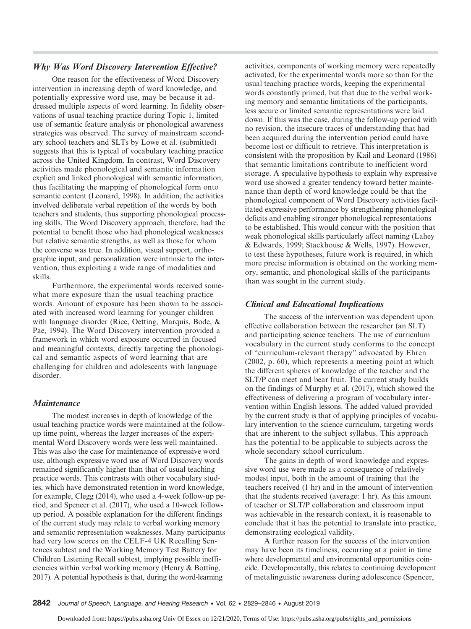## Why Was Word Discovery Intervention Effective?

One reason for the effectiveness of Word Discovery intervention in increasing depth of word knowledge, and potentially expressive word use, may be because it addressed multiple aspects of word learning. In fidelity observations of usual teaching practice during Topic 1, limited use of semantic feature analysis or phonological awareness strategies was observed. The survey of mainstream secondary school teachers and SLTs by Lowe et al. (submitted) suggests that this is typical of vocabulary teaching practice across the United Kingdom. In contrast, Word Discovery activities made phonological and semantic information explicit and linked phonological with semantic information, thus facilitating the mapping of phonological form onto semantic content (Leonard, 1998). In addition, the activities involved deliberate verbal repetition of the words by both teachers and students, thus supporting phonological processing skills. The Word Discovery approach, therefore, had the potential to benefit those who had phonological weaknesses but relative semantic strengths, as well as those for whom the converse was true. In addition, visual support, orthographic input, and personalization were intrinsic to the intervention, thus exploiting a wide range of modalities and skills.

Furthermore, the experimental words received somewhat more exposure than the usual teaching practice words. Amount of exposure has been shown to be associated with increased word learning for younger children with language disorder (Rice, Oetting, Marquis, Bode, & Pae, 1994). The Word Discovery intervention provided a framework in which word exposure occurred in focused and meaningful contexts, directly targeting the phonological and semantic aspects of word learning that are challenging for children and adolescents with language disorder.

## **Maintenance**

The modest increases in depth of knowledge of the usual teaching practice words were maintained at the followup time point, whereas the larger increases of the experimental Word Discovery words were less well maintained. This was also the case for maintenance of expressive word use, although expressive word use of Word Discovery words remained significantly higher than that of usual teaching practice words. This contrasts with other vocabulary studies, which have demonstrated retention in word knowledge, for example, Clegg (2014), who used a 4-week follow-up period, and Spencer et al. (2017), who used a 10-week followup period. A possible explanation for the different findings of the current study may relate to verbal working memory and semantic representation weaknesses. Many participants had very low scores on the CELF-4 UK Recalling Sentences subtest and the Working Memory Test Battery for Children Listening Recall subtest, implying possible inefficiencies within verbal working memory (Henry & Botting, 2017). A potential hypothesis is that, during the word-learning

activities, components of working memory were repeatedly activated, for the experimental words more so than for the usual teaching practice words, keeping the experimental words constantly primed, but that due to the verbal working memory and semantic limitations of the participants, less secure or limited semantic representations were laid down. If this was the case, during the follow-up period with no revision, the insecure traces of understanding that had been acquired during the intervention period could have become lost or difficult to retrieve. This interpretation is consistent with the proposition by Kail and Leonard (1986) that semantic limitations contribute to inefficient word storage. A speculative hypothesis to explain why expressive word use showed a greater tendency toward better maintenance than depth of word knowledge could be that the phonological component of Word Discovery activities facilitated expressive performance by strengthening phonological deficits and enabling stronger phonological representations to be established. This would concur with the position that weak phonological skills particularly affect naming (Lahey & Edwards, 1999; Stackhouse & Wells, 1997). However, to test these hypotheses, future work is required, in which more precise information is obtained on the working memory, semantic, and phonological skills of the participants than was sought in the current study.

## Clinical and Educational Implications

The success of the intervention was dependent upon effective collaboration between the researcher (an SLT) and participating science teachers. The use of curriculum vocabulary in the current study conforms to the concept of "curriculum-relevant therapy" advocated by Ehren (2002, p. 60), which represents a meeting point at which the different spheres of knowledge of the teacher and the SLT/P can meet and bear fruit. The current study builds on the findings of Murphy et al. (2017), which showed the effectiveness of delivering a program of vocabulary intervention within English lessons. The added valued provided by the current study is that of applying principles of vocabulary intervention to the science curriculum, targeting words that are inherent to the subject syllabus. This approach has the potential to be applicable to subjects across the whole secondary school curriculum.

The gains in depth of word knowledge and expressive word use were made as a consequence of relatively modest input, both in the amount of training that the teachers received (1 hr) and in the amount of intervention that the students received (average: 1 hr). As this amount of teacher or SLT/P collaboration and classroom input was achievable in the research context, it is reasonable to conclude that it has the potential to translate into practice, demonstrating ecological validity.

A further reason for the success of the intervention may have been its timeliness, occurring at a point in time where developmental and environmental opportunities coincide. Developmentally, this relates to continuing development of metalinguistic awareness during adolescence (Spencer,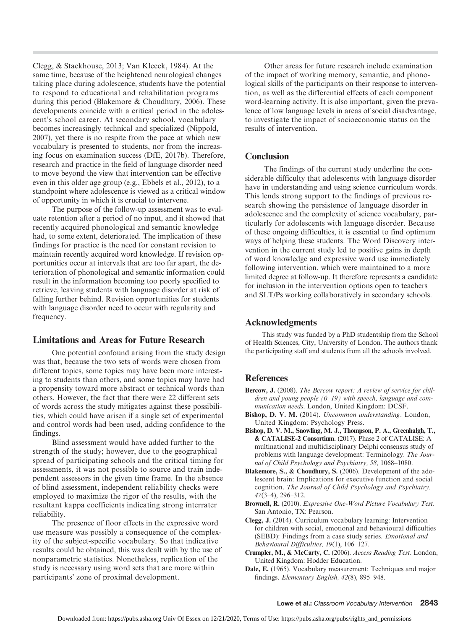Clegg, & Stackhouse, 2013; Van Kleeck, 1984). At the same time, because of the heightened neurological changes taking place during adolescence, students have the potential to respond to educational and rehabilitation programs during this period (Blakemore & Choudhury, 2006). These developments coincide with a critical period in the adolescent's school career. At secondary school, vocabulary becomes increasingly technical and specialized (Nippold, 2007), yet there is no respite from the pace at which new vocabulary is presented to students, nor from the increasing focus on examination success (DfE, 2017b). Therefore, research and practice in the field of language disorder need to move beyond the view that intervention can be effective even in this older age group (e.g., Ebbels et al., 2012), to a standpoint where adolescence is viewed as a critical window of opportunity in which it is crucial to intervene.

The purpose of the follow-up assessment was to evaluate retention after a period of no input, and it showed that recently acquired phonological and semantic knowledge had, to some extent, deteriorated. The implication of these findings for practice is the need for constant revision to maintain recently acquired word knowledge. If revision opportunities occur at intervals that are too far apart, the deterioration of phonological and semantic information could result in the information becoming too poorly specified to retrieve, leaving students with language disorder at risk of falling further behind. Revision opportunities for students with language disorder need to occur with regularity and frequency.

## Limitations and Areas for Future Research

One potential confound arising from the study design was that, because the two sets of words were chosen from different topics, some topics may have been more interesting to students than others, and some topics may have had a propensity toward more abstract or technical words than others. However, the fact that there were 22 different sets of words across the study mitigates against these possibilities, which could have arisen if a single set of experimental and control words had been used, adding confidence to the findings.

Blind assessment would have added further to the strength of the study; however, due to the geographical spread of participating schools and the critical timing for assessments, it was not possible to source and train independent assessors in the given time frame. In the absence of blind assessment, independent reliability checks were employed to maximize the rigor of the results, with the resultant kappa coefficients indicating strong interrater reliability.

The presence of floor effects in the expressive word use measure was possibly a consequence of the complexity of the subject-specific vocabulary. So that indicative results could be obtained, this was dealt with by the use of nonparametric statistics. Nonetheless, replication of the study is necessary using word sets that are more within participants' zone of proximal development.

Other areas for future research include examination of the impact of working memory, semantic, and phonological skills of the participants on their response to intervention, as well as the differential effects of each component word-learning activity. It is also important, given the prevalence of low language levels in areas of social disadvantage, to investigate the impact of socioeconomic status on the results of intervention.

## **Conclusion**

The findings of the current study underline the considerable difficulty that adolescents with language disorder have in understanding and using science curriculum words. This lends strong support to the findings of previous research showing the persistence of language disorder in adolescence and the complexity of science vocabulary, particularly for adolescents with language disorder. Because of these ongoing difficulties, it is essential to find optimum ways of helping these students. The Word Discovery intervention in the current study led to positive gains in depth of word knowledge and expressive word use immediately following intervention, which were maintained to a more limited degree at follow-up. It therefore represents a candidate for inclusion in the intervention options open to teachers and SLT/Ps working collaboratively in secondary schools.

## Acknowledgments

This study was funded by a PhD studentship from the School of Health Sciences, City, University of London. The authors thank the participating staff and students from all the schools involved.

## References

- Bercow, J. (2008). The Bercow report: A review of service for children and young people  $(0-19)$  with speech, language and communication needs. London, United Kingdom: DCSF.
- Bishop, D. V. M. (2014). Uncommon understanding. London, United Kingdom: Psychology Press.
- Bishop, D. V. M., Snowling, M. J., Thompson, P. A., Greenhalgh, T., & CATALISE-2 Consortium. (2017). Phase 2 of CATALISE: A multinational and multidisciplinary Delphi consensus study of problems with language development: Terminology. The Journal of Child Psychology and Psychiatry, 58, 1068–1080.
- Blakemore, S., & Choudhury, S. (2006). Development of the adolescent brain: Implications for executive function and social cognition. The Journal of Child Psychology and Psychiatry, 47(3–4), 296–312.
- Brownell, R. (2010). Expressive One-Word Picture Vocabulary Test. San Antonio, TX: Pearson.
- Clegg, J. (2014). Curriculum vocabulary learning: Intervention for children with social, emotional and behavioural difficulties (SEBD): Findings from a case study series. Emotional and Behavioural Difficulties, 19(1), 106–127.
- Crumpler, M., & McCarty, C. (2006). Access Reading Test. London, United Kingdom: Hodder Education.
- Dale, E. (1965). Vocabulary measurement: Techniques and major findings. Elementary English, 42(8), 895–948.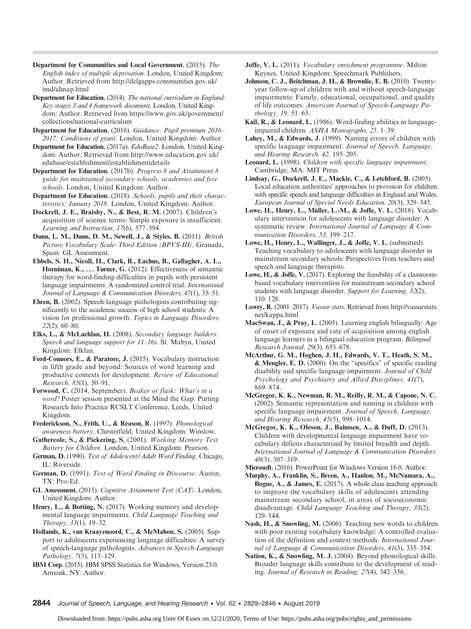- Department for Communities and Local Government. (2015). The English index of multiple deprivation. London, United Kingdom: Author. Retrieved from [http://dclgapps.communities.gov.uk/](http://dclgapps.communities.gov.uk/imd/idmap.html) [imd/idmap.html](http://dclgapps.communities.gov.uk/imd/idmap.html)
- Department for Education. (2014). The national curriculum in England: Key stages 3 and 4 framework document. London, United Kingdom: Author. Retrieved from [https://www.gov.uk/government/](https://www.gov.uk/government/collections/national-curriculum) [collections/national-curriculum](https://www.gov.uk/government/collections/national-curriculum)
- Department for Education. (2016). Guidance: Pupil premium 2016– 2017: Conditions of grant. London, United Kingdom: Author.
- Department for Education. (2017a). EduBase2. London, United Kingdom: Author. Retrieved from [http://www.education.gov.uk/](http://www.education.gov.uk/edubase/establishment/establishmentdetails) [edubase/establishment/establishmentdetails](http://www.education.gov.uk/edubase/establishment/establishmentdetails)
- Department for Education. (2017b). Progress 8 and Attainment 8 guide for maintained secondary schools, academies and free schools. London, United Kingdom: Author.
- Department for Education. (2018). Schools, pupils and their characteristics: January 2018. London, United Kingdom: Author.
- Dockrell, J. E., Braisby, N., & Best, R. M. (2007). Children's acquisition of science terms: Simple exposure is insufficient. Learning and Instruction, 17(6), 577–594.
- Dunn, L. M., Dunn, D. M., Sewell, J., & Styles, B. (2011). British Picture Vocabulary Scale–Third Edition (BPVS-III). Granada, Spain: GL Assessment.
- Ebbels, S. H., Nicoll, H., Clark, B., Eachus, B., Gallagher, A. L., Horniman, K., ... Turner, G. (2012). Effectiveness of semantic therapy for word-finding difficulties in pupils with persistent language impairments: A randomized control trial. International Journal of Language & Communication Disorders, 47(1), 35–51.
- Ehren, B. (2002). Speech-language pathologists contributing significantly to the academic success of high school students: A vision for professional growth. Topics in Language Disorders, 22(2), 60–80.
- Elks, L., & McLachlan, H. (2008). Secondary language builders: Speech and language support for 11–16s. St. Mabyn, United Kingdom: Elklan.
- Ford-Connors, E., & Paratore, J. (2015). Vocabulary instruction in fifth grade and beyond: Sources of word learning and productive contexts for development. Review of Educational Research, 85(1), 50–91.
- Forwood, C. (2014, September). Beaker or flask: What's in a word? Poster session presented at the Mind the Gap: Putting Research Into Practice RCSLT Conference, Leeds, United Kingdom.
- Frederickson, N., Frith, U., & Reason, R. (1997). Phonological awareness battery. Chesterfield, United Kingdom: Winslow.
- Gathercole, S., & Pickering, S. (2001). Working Memory Test Battery for Children. London, United Kingdom: Pearson.
- German, D. (1990). Test of Adolescent/Adult Word Finding. Chicago, IL: Riverside.
- German, D. (1991). Test of Word Finding in Discourse. Austin, TX: Pro-Ed.
- GL Assessment. (2015). Cognitive Attainment Test (CAT). London, United Kingdom: Author.
- Henry, L., & Botting, N. (2017). Working memory and developmental language impairments. Child Language Teaching and Therapy, 33(1), 19–32.
- Hollands, K., van Kraayenoord, C., & McMahon, S. (2005). Support to adolescents experiencing language difficulties: A survey of speech-language pathologists. Advances in Speech-Language Pathology, 7(3), 113–129.
- IBM Corp. (2015). IBM SPSS Statistics for Windows, Version 23.0. Armonk, NY: Author.
- Joffe, V. L. (2011). *Vocabulary enrichment programme*. Milton Keynes, United Kingdom: Speechmark Publishers.
- Johnson, C. J., Beitchman, J. H., & Brownlie, E. B. (2010). Twentyyear follow-up of children with and without speech-language impairments: Family, educational, occupational, and quality of life outcomes. American Journal of Speech-Language Pathology, 19, 51–65.
- Kail, R., & Leonard, L. (1986). Word-finding abilities in languageimpaired children. ASHA Monographs, 25, 1–39.
- Lahey, M., & Edwards, J. (1999). Naming errors of children with specific language impairment. Journal of Speech, Language, and Hearing Research, 42, 195–205.
- Leonard, L. (1998). Children with specific language impairment. Cambridge, MA: MIT Press.
- Lindsay, G., Dockrell, J. E., Mackie, C., & Letchford, B. (2005). Local education authorities' approaches to provision for children with specific speech and language difficulties in England and Wales. European Journal of Special Needs Education, 20(3), 329–345.
- Lowe, H., Henry, L., Müller, L.-M., & Joffe, V. L. (2018). Vocabulary intervention for adolescents with language disorder: A systematic review. International Journal of Language & Communication Disorders, 53, 199–217.
- Lowe, H., Henry, L., Wallinger, J., & Joffe, V. L. (submitted). Teaching vocabulary to adolescents with language disorder in mainstream secondary schools: Perspectives from teachers and speech and language therapists.
- Lowe, H., & Joffe, V. (2017). Exploring the feasibility of a classroombased vocabulary intervention for mainstream secondary school students with language disorder. Support for Learning, 32(2), 110–128.
- Lowry, R. (2001–2017). Vassar stats. Retrieved from [http://vassarstats.](http://vassarstats.net/kappa.html) [net/kappa.html](http://vassarstats.net/kappa.html)
- MacSwan, J., & Pray, L. (2005). Learning english bilingually: Age of onset of exposure and rate of acquisition among english language learners in a bilingual education program. Bilingual Research Journal, 29(3), 653–678.
- McArthur, G. M., Hogben, J. H., Edwards, V. T., Heath, S. M., & Mengler, E. D. (2000). On the "specifics" of specific reading disability and specific language impairment. Journal of Child Psychology and Psychiatry and Allied Disciplines, 41(7), 869–874.
- McGregor, K. K., Newman, R. M., Reilly, R. M., & Capone, N. C. (2002). Semantic representation and naming in children with specific language impairment. Journal of Speech, Language, and Hearing Research, 45(5), 998–1014.
- McGregor, K. K., Oleson, J., Bahnsen, A., & Duff, D. (2013). Children with developmental language impairment have vocabulary deficits characterized by limited breadth and depth. International Journal of Language & Communication Disorders, 48(3), 307–319.
- Microsoft. (2016). PowerPoint for Windows Version 16.0. Author.
- Murphy, A., Franklin, S., Breen, A., Hanlon, M., McNamara, A., Bogue, A., & James, E. (2017). A whole class teaching approach to improve the vocabulary skills of adolescents attending mainstream secondary school, in areas of socioeconomic disadvantage. Child Language Teaching and Therapy, 33(2), 129–144.
- Nash, H., & Snowling, M. (2006). Teaching new words to children with poor existing vocabulary knowledge: A controlled evaluation of the definition and context methods. International Journal of Language & Communication Disorders, 41(3), 335–354.
- Nation, K., & Snowling, M. J. (2004). Beyond phonological skills: Broader language skills contribute to the development of reading. Journal of Research in Reading, 27(4), 342–356.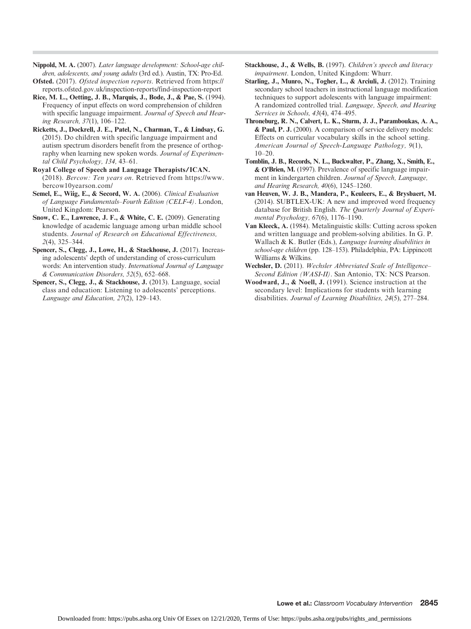- Nippold, M. A. (2007). Later language development: School-age children, adolescents, and young adults (3rd ed.). Austin, TX: Pro-Ed.
- Ofsted. (2017). Ofsted inspection reports. Retrieved from [https://](https://reports.ofsted.gov.uk/inspection-reports/find-inspection-report) [reports.ofsted.gov.uk/inspection-reports/find-inspection-report](https://reports.ofsted.gov.uk/inspection-reports/find-inspection-report)
- Rice, M. L., Oetting, J. B., Marquis, J., Bode, J., & Pae, S. (1994). Frequency of input effects on word comprehension of children with specific language impairment. Journal of Speech and Hearing Research, 37(1), 106–122.
- Ricketts, J., Dockrell, J. E., Patel, N., Charman, T., & Lindsay, G. (2015). Do children with specific language impairment and autism spectrum disorders benefit from the presence of orthography when learning new spoken words. Journal of Experimental Child Psychology, 134, 43–61.
- Royal College of Speech and Language Therapists/ICAN. (2018). Bercow: Ten years on. Retrieved from [https://www.](https://www.bercow10yearson.com/) [bercow10yearson.com/](https://www.bercow10yearson.com/)
- Semel, E., Wiig, E., & Secord, W. A. (2006). Clinical Evaluation of Language Fundamentals–Fourth Edition (CELF-4). London, United Kingdom: Pearson.
- Snow, C. E., Lawrence, J. F., & White, C. E. (2009). Generating knowledge of academic language among urban middle school students. Journal of Research on Educational Effectiveness, 2(4), 325–344.
- Spencer, S., Clegg, J., Lowe, H., & Stackhouse, J. (2017). Increasing adolescents' depth of understanding of cross-curriculum words: An intervention study. International Journal of Language & Communication Disorders, 52(5), 652–668.
- Spencer, S., Clegg, J., & Stackhouse, J. (2013). Language, social class and education: Listening to adolescents' perceptions. Language and Education, 27(2), 129–143.
- Stackhouse, J., & Wells, B. (1997). Children's speech and literacy impairment. London, United Kingdom: Whurr.
- Starling, J., Munro, N., Togher, L., & Arciuli, J. (2012). Training secondary school teachers in instructional language modification techniques to support adolescents with language impairment: A randomized controlled trial. Language, Speech, and Hearing Services in Schools, 43(4), 474–495.
- Throneburg, R. N., Calvert, L. K., Sturm, J. J., Paramboukas, A. A., & Paul, P. J. (2000). A comparison of service delivery models: Effects on curricular vocabulary skills in the school setting. American Journal of Speech-Language Pathology, 9(1),  $10-20.$
- Tomblin, J. B., Records, N. L., Buckwalter, P., Zhang, X., Smith, E., & O'Brien, M. (1997). Prevalence of specific language impairment in kindergarten children. Journal of Speech, Language, and Hearing Research, 40(6), 1245–1260.
- van Heuven, W. J. B., Mandera, P., Keuleers, E., & Brysbaert, M. (2014). SUBTLEX-UK: A new and improved word frequency database for British English. The Quarterly Journal of Experimental Psychology, 67(6), 1176–1190.
- Van Kleeck, A. (1984). Metalinguistic skills: Cutting across spoken and written language and problem-solving abilities. In G. P. Wallach & K. Butler (Eds.), Language learning disabilities in school-age children (pp. 128–153). Philadelphia, PA: Lippincott Williams & Wilkins.
- Wechsler, D. (2011). Wechsler Abbreviated Scale of Intelligence-Second Edition (WASI-II). San Antonio, TX: NCS Pearson.
- Woodward, J., & Noell, J. (1991). Science instruction at the secondary level: Implications for students with learning disabilities. Journal of Learning Disabilities, 24(5), 277–284.